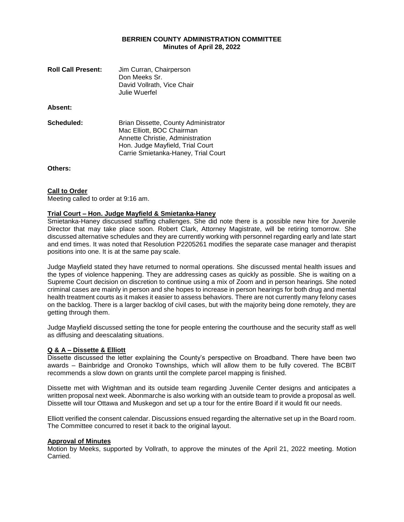## **BERRIEN COUNTY ADMINISTRATION COMMITTEE Minutes of April 28, 2022**

| <b>Roll Call Present:</b> | Jim Curran, Chairperson<br>Don Meeks Sr.<br>David Vollrath, Vice Chair<br>Julie Wuerfel                                                                                          |
|---------------------------|----------------------------------------------------------------------------------------------------------------------------------------------------------------------------------|
| Absent:                   |                                                                                                                                                                                  |
| Scheduled:                | Brian Dissette, County Administrator<br>Mac Elliott, BOC Chairman<br>Annette Christie, Administration<br>Hon. Judge Mayfield, Trial Court<br>Carrie Smietanka-Haney, Trial Court |

**Others:**

#### **Call to Order**

Meeting called to order at 9:16 am.

### **Trial Court – Hon. Judge Mayfield & Smietanka-Haney**

Smietanka-Haney discussed staffing challenges. She did note there is a possible new hire for Juvenile Director that may take place soon. Robert Clark, Attorney Magistrate, will be retiring tomorrow. She discussed alternative schedules and they are currently working with personnel regarding early and late start and end times. It was noted that Resolution P2205261 modifies the separate case manager and therapist positions into one. It is at the same pay scale.

Judge Mayfield stated they have returned to normal operations. She discussed mental health issues and the types of violence happening. They are addressing cases as quickly as possible. She is waiting on a Supreme Court decision on discretion to continue using a mix of Zoom and in person hearings. She noted criminal cases are mainly in person and she hopes to increase in person hearings for both drug and mental health treatment courts as it makes it easier to assess behaviors. There are not currently many felony cases on the backlog. There is a larger backlog of civil cases, but with the majority being done remotely, they are getting through them.

Judge Mayfield discussed setting the tone for people entering the courthouse and the security staff as well as diffusing and deescalating situations.

#### **Q & A – Dissette & Elliott**

Dissette discussed the letter explaining the County's perspective on Broadband. There have been two awards – Bainbridge and Oronoko Townships, which will allow them to be fully covered. The BCBIT recommends a slow down on grants until the complete parcel mapping is finished.

Dissette met with Wightman and its outside team regarding Juvenile Center designs and anticipates a written proposal next week. Abonmarche is also working with an outside team to provide a proposal as well. Dissette will tour Ottawa and Muskegon and set up a tour for the entire Board if it would fit our needs.

Elliott verified the consent calendar. Discussions ensued regarding the alternative set up in the Board room. The Committee concurred to reset it back to the original layout.

## **Approval of Minutes**

Motion by Meeks, supported by Vollrath, to approve the minutes of the April 21, 2022 meeting. Motion Carried.